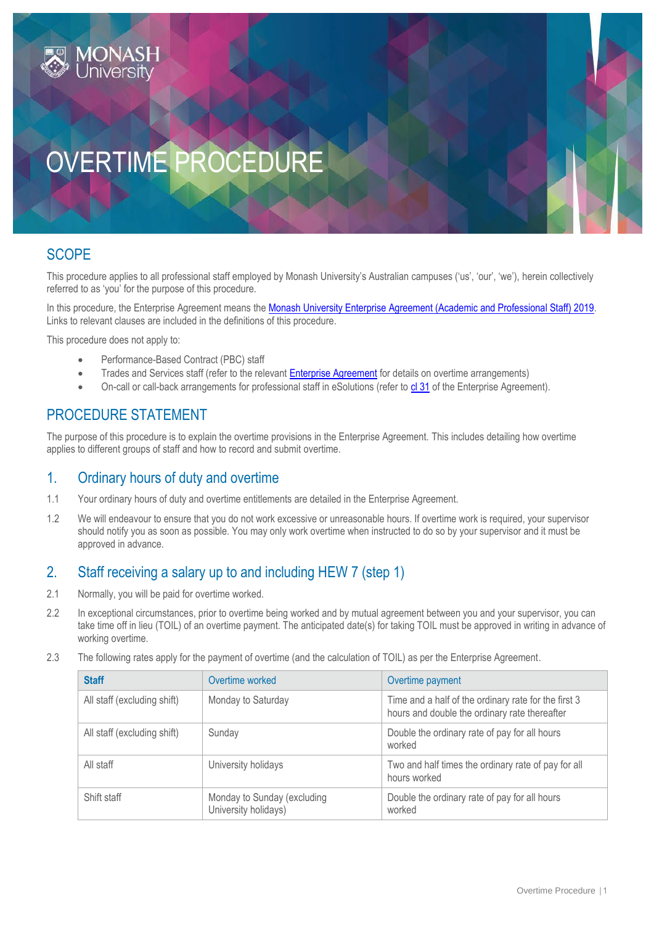# OVERTIME PROCEDURE

# **SCOPE**

This procedure applies to all professional staff employed by Monash University's Australian campuses ('us', 'our', 'we'), herein collectively referred to as 'you' for the purpose of this procedure.

In this procedure, the Enterprise Agreement means the [Monash University Enterprise Agreement \(Academic and Professional Staff\) 2019.](https://www.monash.edu/current-enterprise-agreements/academic-professional-2019) Links to relevant clauses are included in the definitions of this procedure.

This procedure does not apply to:

- Performance-Based Contract (PBC) staff
- Trades and Services staff (refer to the relevan[t Enterprise Agreement](https://www.monash.edu/current-enterprise-agreements) for details on overtime arrangements)
- On-call or call-back arrangements for professional staff in eSolutions (refer to [cl 31](https://www.monash.edu/current-enterprise-agreements/academic-professional-2019#31) of the Enterprise Agreement).

# PROCEDURE STATEMENT

The purpose of this procedure is to explain the overtime provisions in the Enterprise Agreement. This includes detailing how overtime applies to different groups of staff and how to record and submit overtime.

# 1. Ordinary hours of duty and overtime

- 1.1 Your ordinary hours of duty and overtime entitlements are detailed in the Enterprise Agreement.
- 1.2 We will endeavour to ensure that you do not work excessive or unreasonable hours. If overtime work is required, your supervisor should notify you as soon as possible. You may only work overtime when instructed to do so by your supervisor and it must be approved in advance.

# 2. Staff receiving a salary up to and including HEW 7 (step 1)

- 2.1 Normally, you will be paid for overtime worked.
- 2.2 In exceptional circumstances, prior to overtime being worked and by mutual agreement between you and your supervisor, you can take time off in lieu (TOIL) of an overtime payment. The anticipated date(s) for taking TOIL must be approved in writing in advance of working overtime.
- 2.3 The following rates apply for the payment of overtime (and the calculation of TOIL) as per the Enterprise Agreement.

| <b>Staff</b>                | Overtime worked                                     | Overtime payment                                                                                      |
|-----------------------------|-----------------------------------------------------|-------------------------------------------------------------------------------------------------------|
| All staff (excluding shift) | Monday to Saturday                                  | Time and a half of the ordinary rate for the first 3<br>hours and double the ordinary rate thereafter |
| All staff (excluding shift) | Sunday                                              | Double the ordinary rate of pay for all hours<br>worked                                               |
| All staff                   | University holidays                                 | Two and half times the ordinary rate of pay for all<br>hours worked                                   |
| Shift staff                 | Monday to Sunday (excluding<br>University holidays) | Double the ordinary rate of pay for all hours<br>worked                                               |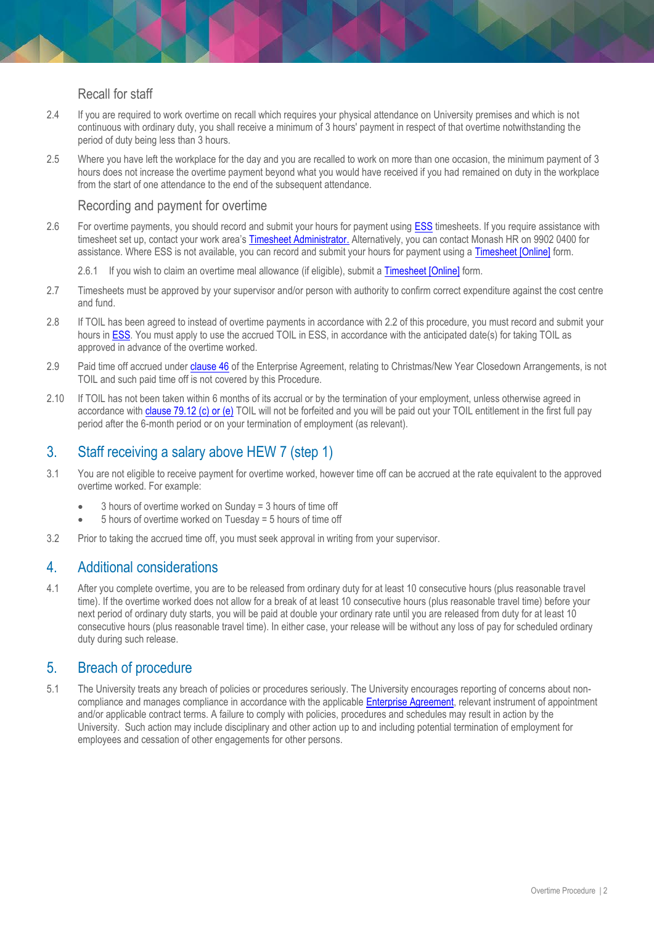#### Recall for staff

- 2.4 If you are required to work overtime on recall which requires your physical attendance on University premises and which is not continuous with ordinary duty, you shall receive a minimum of 3 hours' payment in respect of that overtime notwithstanding the period of duty being less than 3 hours.
- 2.5 Where you have left the workplace for the day and you are recalled to work on more than one occasion, the minimum payment of 3 hours does not increase the overtime payment beyond what you would have received if you had remained on duty in the workplace from the start of one attendance to the end of the subsequent attendance.

#### Recording and payment for overtime

- 2.6 For overtime payments, you should record and submit your hours for payment usin[g ESS](https://eservices.monash.edu.au/irj/portal) timesheets. If you require assistance with timesheet set up, contact your work area's [Timesheet Administrator.](https://docs.google.com/spreadsheets/d/1XTtmXParcTXxwFRLyj54HT7vC0YPXSRD6IZMMj7Z7zc/edit#gid=521828145) Alternatively, you can contact Monash HR on 9902 0400 for assistance. Where ESS is not available, you can record and submit your hours for payment using a [Timesheet \[Online\]](https://www.monash.edu/eforms-resources/frevvo-forms/hr/timesheets) form.
	- 2.6.1 If you wish to claim an overtime meal allowance (if eligible), submit a [Timesheet \[Online\]](https://www.monash.edu/eforms-resources/frevvo-forms/hr/timesheets) form.
- 2.7 Timesheets must be approved by your supervisor and/or person with authority to confirm correct expenditure against the cost centre and fund.
- 2.8 If TOIL has been agreed to instead of overtime payments in accordance with 2.2 of this procedure, you must record and submit your hours i[n ESS.](https://eservices.monash.edu.au/irj/portal) You must apply to use the accrued TOIL in ESS, in accordance with the anticipated date(s) for taking TOIL as approved in advance of the overtime worked.
- 2.9 Paid time off accrued unde[r clause 46](https://www.monash.edu/current-enterprise-agreements/academic-professional-2019#46) of the Enterprise Agreement, relating to Christmas/New Year Closedown Arrangements, is not TOIL and such paid time off is not covered by this Procedure.
- 2.10 If TOIL has not been taken within 6 months of its accrual or by the termination of your employment, unless otherwise agreed in accordance wit[h clause 79.12 \(c\) or \(e\)](https://www.monash.edu/current-enterprise-agreements/academic-professional-2019#79) TOIL will not be forfeited and you will be paid out your TOIL entitlement in the first full pay period after the 6-month period or on your termination of employment (as relevant).

# 3. Staff receiving a salary above HEW 7 (step 1)

- 3.1 You are not eligible to receive payment for overtime worked, however time off can be accrued at the rate equivalent to the approved overtime worked. For example:
	- 3 hours of overtime worked on Sunday = 3 hours of time off
	- 5 hours of overtime worked on Tuesday = 5 hours of time off
- 3.2 Prior to taking the accrued time off, you must seek approval in writing from your supervisor.

# 4. Additional considerations

4.1 After you complete overtime, you are to be released from ordinary duty for at least 10 consecutive hours (plus reasonable travel time). If the overtime worked does not allow for a break of at least 10 consecutive hours (plus reasonable travel time) before your next period of ordinary duty starts, you will be paid at double your ordinary rate until you are released from duty for at least 10 consecutive hours (plus reasonable travel time). In either case, your release will be without any loss of pay for scheduled ordinary duty during such release.

# 5. Breach of procedure

5.1 The University treats any breach of policies or procedures seriously. The University encourages reporting of concerns about noncompliance and manages compliance in accordance with the applicable **Enterprise Agreement**, relevant instrument of appointment and/or applicable contract terms. A failure to comply with policies, procedures and schedules may result in action by the University. Such action may include disciplinary and other action up to and including potential termination of employment for employees and cessation of other engagements for other persons.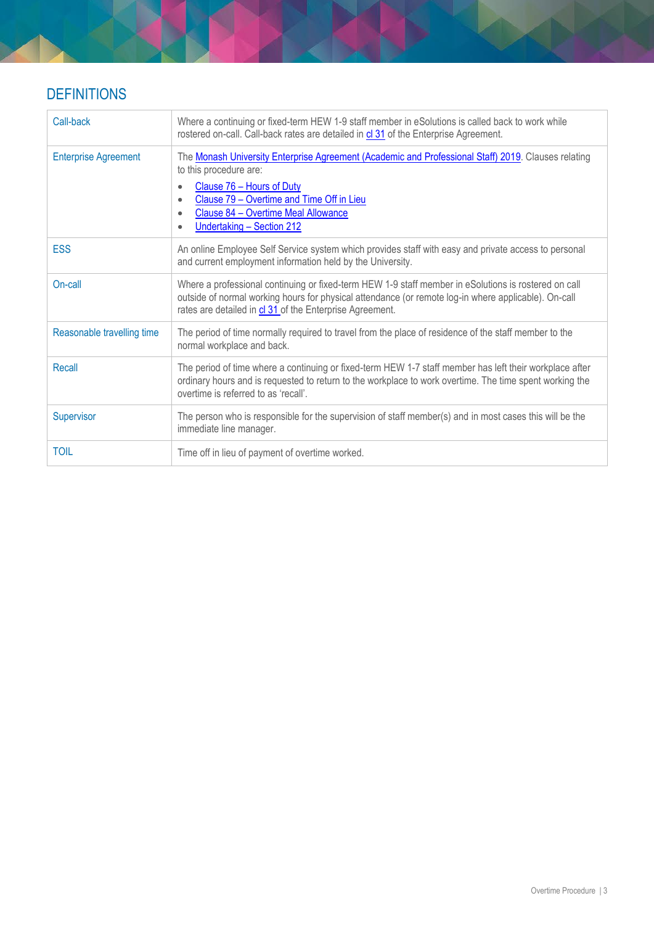# **DEFINITIONS**

| Call-back                   | Where a continuing or fixed-term HEW 1-9 staff member in eSolutions is called back to work while<br>rostered on-call. Call-back rates are detailed in cl 31 of the Enterprise Agreement.                                                                                                                                        |
|-----------------------------|---------------------------------------------------------------------------------------------------------------------------------------------------------------------------------------------------------------------------------------------------------------------------------------------------------------------------------|
| <b>Enterprise Agreement</b> | The Monash University Enterprise Agreement (Academic and Professional Staff) 2019. Clauses relating<br>to this procedure are:<br>Clause 76 - Hours of Duty<br>$\bullet$<br>Clause 79 - Overtime and Time Off in Lieu<br>$\bullet$<br>Clause 84 - Overtime Meal Allowance<br>$\bullet$<br>Undertaking - Section 212<br>$\bullet$ |
| <b>ESS</b>                  | An online Employee Self Service system which provides staff with easy and private access to personal<br>and current employment information held by the University.                                                                                                                                                              |
| On-call                     | Where a professional continuing or fixed-term HEW 1-9 staff member in eSolutions is rostered on call<br>outside of normal working hours for physical attendance (or remote log-in where applicable). On-call<br>rates are detailed in cl 31 of the Enterprise Agreement.                                                        |
| Reasonable travelling time  | The period of time normally required to travel from the place of residence of the staff member to the<br>normal workplace and back.                                                                                                                                                                                             |
| Recall                      | The period of time where a continuing or fixed-term HEW 1-7 staff member has left their workplace after<br>ordinary hours and is requested to return to the workplace to work overtime. The time spent working the<br>overtime is referred to as 'recall'.                                                                      |
| Supervisor                  | The person who is responsible for the supervision of staff member(s) and in most cases this will be the<br>immediate line manager.                                                                                                                                                                                              |
| <b>TOIL</b>                 | Time off in lieu of payment of overtime worked.                                                                                                                                                                                                                                                                                 |